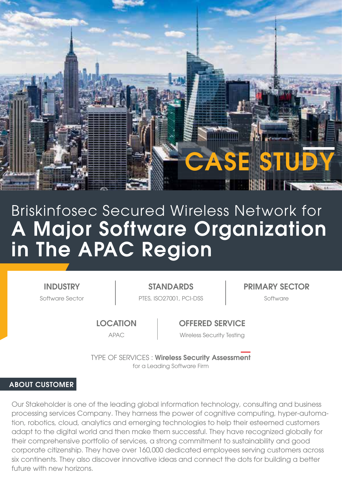

# A Major Software Organization in The APAC Region Briskinfosec Secured Wireless Network for

**INDUSTRY** 

Software Sector **PTES, ISO27001, PCI-DSS** Software

STANDARDS PRIMARY SECTOR

**LOCATION** 

OFFERED SERVICE

APAC Wireless Security Testing

TYPE OF SERVICES : Wireless Security Assessment for a Leading Software Firm

#### ABOUT CUSTOMER

Our Stakeholder is one of the leading global information technology, consulting and business processing services Company. They harness the power of cognitive computing, hyper-automation, robotics, cloud, analytics and emerging technologies to help their esteemed customers adapt to the digital world and then make them successful. They have recognized globally for their comprehensive portfolio of services, a strong commitment to sustainability and good corporate citizenship. They have over 160,000 dedicated employees serving customers across six continents. They also discover innovative ideas and connect the dots for building a better future with new horizons.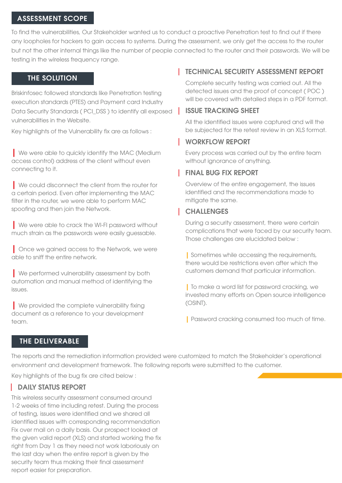#### ASSESSMENT SCOPE

To find the vulnerabilities, Our Stakeholder wanted us to conduct a proactive Penetration test to find out if there any loopholes for hackers to gain access to systems. During the assessment, we only get the access to the router but not the other internal things like the number of people connected to the router and their passwords. We will be testing in the wireless frequency range.

#### THE SOLUTION

Briskinfosec followed standards like Penetration testing execution standards (PTES) and Payment card Industry Data Security Standards ( PCI\_DSS ) to identify all exposed vulnerabilities in the Website.

Key highlights of the Vulnerability fix are as follows :

| We were able to quickly identify the MAC (Medium access control) address of the client without even connecting to it.

| We could disconnect the client from the router for a certain period. Even after implementing the MAC filter in the router, we were able to perform MAC spoofing and then join the Network.

| We were able to crack the WI-FI password without much strain as the passwords were easily guessable.

| Once we agined access to the Network, we were able to sniff the entire network.

**Ne performed vulnerability assessment by both** automation and manual method of identifying the issues.

| We provided the complete vulnerability fixing document as a reference to your development team.

# **TECHNICAL SECURITY ASSESSMENT REPORT**

Complete security testing was carried out. All the detected issues and the proof of concept ( POC ) will be covered with detailed steps in a PDF format.

## ISSUE TRACKING SHEET

All the identified issues were captured and will the be subjected for the retest review in an XLS format.

## WORKFLOW REPORT

Every process was carried out by the entire team without ignorance of anything.

# FINAL BUG FIX REPORT

Overview of the entire engagement, the issues identified and the recommendations made to mitigate the same.

## **CHALLENGES**

During a security assessment, there were certain complications that were faced by our security team. Those challenges are elucidated below :

| Sometimes while accessing the requirements, there would be restrictions even after which the customers demand that particular information.

| To make a word list for password cracking, we invested many efforts on Open source intelligence (OSINT).

| Password cracking consumed too much of time.

# THE DELIVERABLE

The reports and the remediation information provided were customized to match the Stakeholder's operational environment and development framework. The following reports were submitted to the customer.

Key highlights of the bug fix are cited below :

# **DAILY STATUS REPORT**

This wireless security assessment consumed around 1-2 weeks of time including retest. During the process of testing, issues were identified and we shared all identified issues with corresponding recommendation Fix over mail on a daily basis. Our prospect looked at the given valid report (XLS) and started working the fix right from Day 1 as they need not work laboriously on the last day when the entire report is given by the security team thus making their final assessment report easier for preparation.